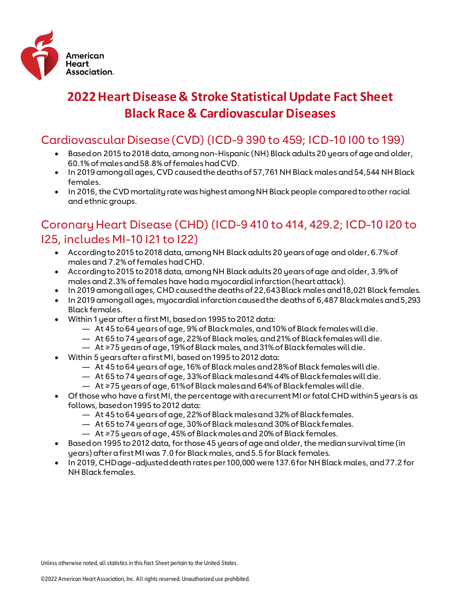

# **2022 Heart Disease & Stroke Statistical Update Fact Sheet Black Race & Cardiovascular Diseases**

### Cardiovascular Disease (CVD) (ICD-9 390 to 459; ICD-10 I00 to 199)

- Based on 2015 to 2018 data, among non-Hispanic (NH) Black adults 20 years of age and older, 60.1% of males and 58.8% of females had CVD.
- In 2019 among all ages, CVD caused the deaths of 57,761 NH Black males and 54,544 NH Black females.
- In 2016, the CVD mortality rate was highest among NH Black people compared to other racial and ethnic groups.

## Coronary Heart Disease (CHD) (ICD-9 410 to 414, 429.2; ICD-10 I20 to I25, includes MI-10 I21 to I22)

- According to 2015 to 2018 data, among NH Black adults 20 years of age and older, 6.7% of males and 7.2% of females had CHD.
- According to 2015 to 2018 data, among NH Black adults 20 years of age and older, 3.9% of males and 2.3% of females have had a myocardial infarction (heart attack).
- In 2019 among all ages, CHD caused the deaths of 22,643 Black males and 18,021 Black females.
- In 2019 among all ages, myocardial infarction caused the deaths of 6,487 Black males and 5,293 Black females.
- Within 1 year after a first MI, based on 1995 to 2012 data:
	- At 45 to 64 years of age, 9% of Black males, and 10% of Black females will die.
	- At 65 to 74 years of age, 22% of Black males, and 21% of Black females will die.
	- At ≥75 years of age, 19% of Black males, and 31% of Black females will die.
	- Within 5 years after a first MI, based on 1995 to 2012 data:
		- At 45 to 64 years of age, 16% of Black males and 28% of Black females will die.
		- At 65 to 74 years of age, 33% of Black males and 44% of Black females will die.
		- At ≥75 years of age, 61% of Black males and 64% of Black females will die.
- Of those who have a first MI, the percentage with a recurrent MI or fatal CHD within 5 years is as follows, based on 1995 to 2012 data:
	- At 45 to 64 years of age, 22% of Black males and 32% of Black females.
	- At 65 to 74 years of age, 30% of Black males and 30% of Black females.
	- At ≥75 years of age, 45% of Black males and 20% of Black females.
- Based on 1995 to 2012 data, for those 45 years of age and older, the median survival time (in years) after a first MI was 7.0 for Black males, and 5.5 for Black females.
- In 2019, CHD age-adjusted death rates per 100,000 were 137.6 for NH Black males, and 77.2 for NH Black females.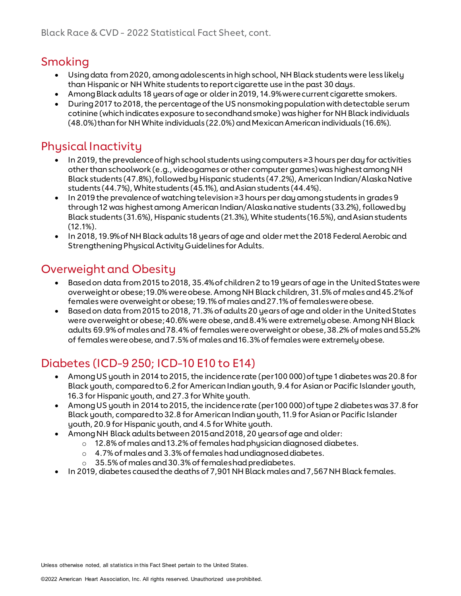# Smoking

- Using data from 2020, among adolescents in high school, NH Black students were less likely than Hispanic or NH White students to report cigarette use in the past 30 days.
- Among Black adults 18 years of age or older in 2019, 14.9% were current cigarette smokers.
- During 2017 to 2018, the percentage of the US nonsmoking population with detectable serum cotinine (which indicates exposure to secondhand smoke) was higher for NH Black individuals (48.0%) than for NH White individuals (22.0%) and Mexican American individuals (16.6%).

### Physical Inactivity

- In 2019, the prevalence of high school students using computers ≥3 hours per day for activities other than schoolwork (e.g., video games or other computer games) was highest among NH Black students (47.8%), followed by Hispanic students (47.2%), American Indian/Alaska Native students (44.7%), White students (45.1%), and Asian students (44.4%).
- In 2019 the prevalence of watching television ≥3 hours per day among students in grades 9 through 12 was highest among American Indian/Alaska native students (33.2%), followed by Black students (31.6%), Hispanic students (21.3%), White students (16.5%), and Asian students  $(12.1\%)$ .
- In 2018, 19.9% of NH Black adults 18 years of age and older met the 2018 Federal Aerobic and Strengthening Physical Activity Guidelines for Adults.

# Overweight and Obesity

- Based on data from 2015 to 2018, 35.4% of children 2 to 19 years of age in the United States were overweight or obese; 19.0% were obese. Among NH Black children, 31.5% of males and 45.2% of females were overweight or obese; 19.1% of males and 27.1% of females were obese.
- Based on data from 2015 to 2018, 71.3% of adults 20 years of age and older in the United States were overweight or obese; 40.6% were obese, and 8.4% were extremely obese. Among NH Black adults 69.9% of males and 78.4% of females were overweight or obese, 38.2% of males and 55.2% of females were obese, and 7.5% of males and 16.3% of females were extremely obese.

# Diabetes (ICD-9 250; ICD-10 E10 to E14)

- Among US youth in 2014 to 2015, the incidence rate (per 100 000) of type 1 diabetes was 20.8 for Black youth, compared to 6.2 for American Indian youth, 9.4 for Asian or Pacific Islander youth, 16.3 for Hispanic youth, and 27.3 for White youth.
- Among US youth in 2014 to 2015, the incidence rate (per 100 000) of type 2 diabetes was 37.8 for Black youth, compared to 32.8 for American Indian youth, 11.9 for Asian or Pacific Islander youth, 20.9 for Hispanic youth, and 4.5 for White youth.
- Among NH Black adults between 2015 and 2018, 20 years of age and older:
	- o 12.8% of males and 13.2% of females had physician diagnosed diabetes.
		- o 4.7% of males and 3.3% of females had undiagnosed diabetes.
		- o 35.5% of males and 30.3% of females had prediabetes.
- In 2019, diabetes caused the deaths of 7,901 NH Black males and 7,567 NH Black females.